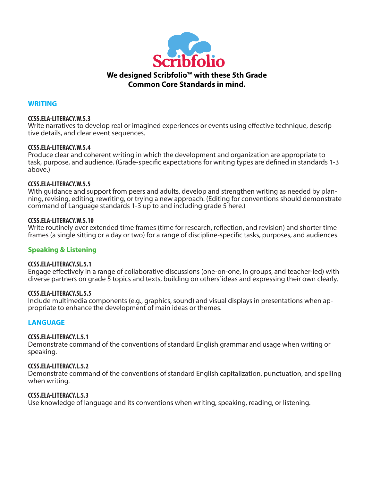

### **WRITING**

#### **CCSS.ELA-LITERACY.W.5.3**

Write narratives to develop real or imagined experiences or events using effective technique, descriptive details, and clear event sequences.

#### **CCSS.ELA-LITERACY.W.5.4**

Produce clear and coherent writing in which the development and organization are appropriate to task, purpose, and audience. (Grade-specific expectations for writing types are defined in standards 1-3 above.)

### **CCSS.ELA-LITERACY.W.5.5**

With guidance and support from peers and adults, develop and strengthen writing as needed by planning, revising, editing, rewriting, or trying a new approach. (Editing for conventions should demonstrate command of Language standards 1-3 up to and including grade 5 here.)

#### **CCSS.ELA-LITERACY.W.5.10**

Write routinely over extended time frames (time for research, reflection, and revision) and shorter time frames (a single sitting or a day or two) for a range of discipline-specific tasks, purposes, and audiences.

### **Speaking & Listening**

#### **CCSS.ELA-LITERACY.SL.5.1**

Engage effectively in a range of collaborative discussions (one-on-one, in groups, and teacher-led) with diverse partners on grade 5 topics and texts, building on others' ideas and expressing their own clearly.

#### **CCSS.ELA-LITERACY.SL.5.5**

Include multimedia components (e.g., graphics, sound) and visual displays in presentations when appropriate to enhance the development of main ideas or themes.

### **LANGUAGE**

#### **CCSS.ELA-LITERACY.L.5.1**

Demonstrate command of the conventions of standard English grammar and usage when writing or speaking.

#### **CCSS.ELA-LITERACY.L.5.2**

Demonstrate command of the conventions of standard English capitalization, punctuation, and spelling when writing.

#### **CCSS.ELA-LITERACY.L.5.3**

Use knowledge of language and its conventions when writing, speaking, reading, or listening.